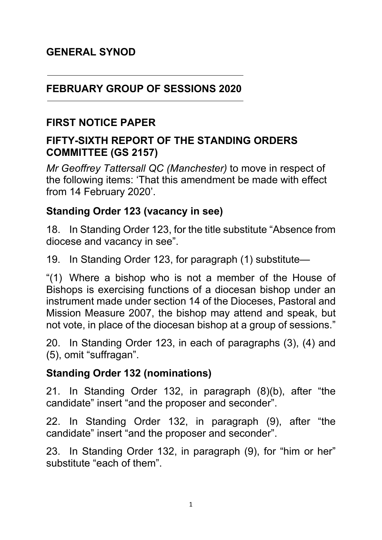#### **FEBRUARY GROUP OF SESSIONS 2020**

#### **FIRST NOTICE PAPER**

### **FIFTY-SIXTH REPORT OF THE STANDING ORDERS COMMITTEE (GS 2157)**

*Mr Geoffrey Tattersall QC (Manchester)* to move in respect of the following items: 'That this amendment be made with effect from 14 February 2020'.

### **Standing Order 123 (vacancy in see)**

18. In Standing Order 123, for the title substitute "Absence from diocese and vacancy in see".

19. In Standing Order 123, for paragraph (1) substitute—

"(1) Where a bishop who is not a member of the House of Bishops is exercising functions of a diocesan bishop under an instrument made under section 14 of the Dioceses, Pastoral and Mission Measure 2007, the bishop may attend and speak, but not vote, in place of the diocesan bishop at a group of sessions."

20. In Standing Order 123, in each of paragraphs (3), (4) and (5), omit "suffragan".

#### **Standing Order 132 (nominations)**

21. In Standing Order 132, in paragraph (8)(b), after "the candidate" insert "and the proposer and seconder".

22. In Standing Order 132, in paragraph (9), after "the candidate" insert "and the proposer and seconder".

23. In Standing Order 132, in paragraph (9), for "him or her" substitute "each of them".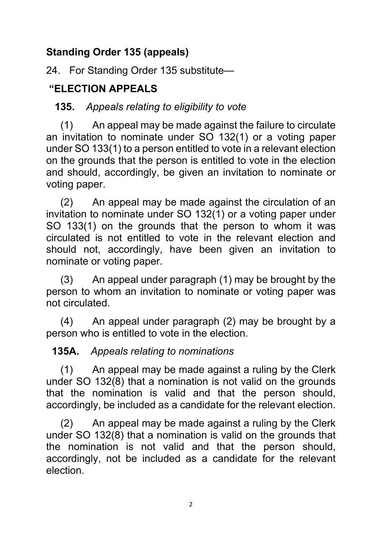## **Standing Order 135 (appeals)**

24. For Standing Order 135 substitute—

## **"ELECTION APPEALS**

## **135.** *Appeals relating to eligibility to vote*

 (1) An appeal may be made against the failure to circulate an invitation to nominate under SO 132(1) or a voting paper under SO 133(1) to a person entitled to vote in a relevant election on the grounds that the person is entitled to vote in the election and should, accordingly, be given an invitation to nominate or voting paper.

 (2) An appeal may be made against the circulation of an invitation to nominate under SO 132(1) or a voting paper under SO 133(1) on the grounds that the person to whom it was circulated is not entitled to vote in the relevant election and should not, accordingly, have been given an invitation to nominate or voting paper.

 (3) An appeal under paragraph (1) may be brought by the person to whom an invitation to nominate or voting paper was not circulated.

 (4) An appeal under paragraph (2) may be brought by a person who is entitled to vote in the election.

# **135A.** *Appeals relating to nominations*

(1) An appeal may be made against a ruling by the Clerk under SO 132(8) that a nomination is not valid on the grounds that the nomination is valid and that the person should, accordingly, be included as a candidate for the relevant election.

 (2) An appeal may be made against a ruling by the Clerk under SO 132(8) that a nomination is valid on the grounds that the nomination is not valid and that the person should, accordingly, not be included as a candidate for the relevant election.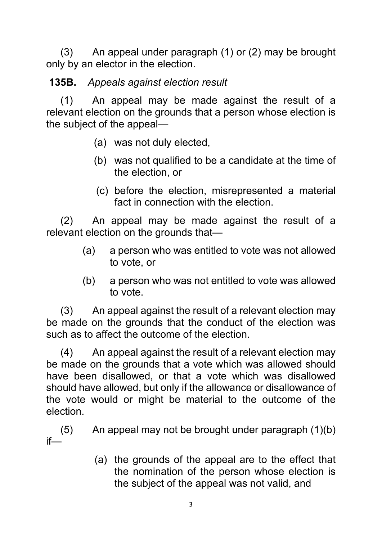(3) An appeal under paragraph (1) or (2) may be brought only by an elector in the election.

# **135B.** *Appeals against election result*

 (1) An appeal may be made against the result of a relevant election on the grounds that a person whose election is the subject of the appeal—

- (a) was not duly elected,
- (b) was not qualified to be a candidate at the time of the election, or
- (c) before the election, misrepresented a material fact in connection with the election.

 (2) An appeal may be made against the result of a relevant election on the grounds that—

- (a) a person who was entitled to vote was not allowed to vote, or
- (b) a person who was not entitled to vote was allowed to vote.

 (3) An appeal against the result of a relevant election may be made on the grounds that the conduct of the election was such as to affect the outcome of the election.

 (4) An appeal against the result of a relevant election may be made on the grounds that a vote which was allowed should have been disallowed, or that a vote which was disallowed should have allowed, but only if the allowance or disallowance of the vote would or might be material to the outcome of the election.

 (5) An appeal may not be brought under paragraph (1)(b) if—

> (a) the grounds of the appeal are to the effect that the nomination of the person whose election is the subject of the appeal was not valid, and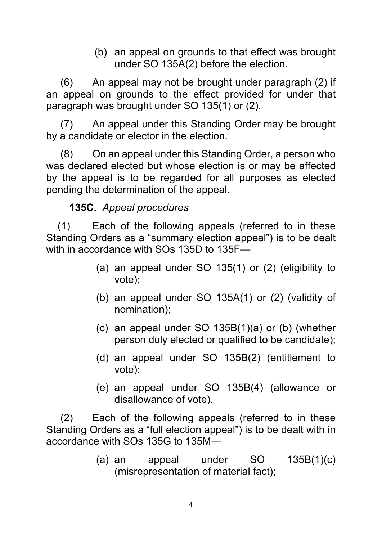(b) an appeal on grounds to that effect was brought under SO 135A(2) before the election.

 (6) An appeal may not be brought under paragraph (2) if an appeal on grounds to the effect provided for under that paragraph was brought under SO 135(1) or (2).

 (7) An appeal under this Standing Order may be brought by a candidate or elector in the election.

 (8) On an appeal under this Standing Order, a person who was declared elected but whose election is or may be affected by the appeal is to be regarded for all purposes as elected pending the determination of the appeal.

#### **135C.** *Appeal procedures*

 (1) Each of the following appeals (referred to in these Standing Orders as a "summary election appeal") is to be dealt with in accordance with SOs 135D to 135F—

- (a) an appeal under SO 135(1) or (2) (eligibility to vote);
- (b) an appeal under SO 135A(1) or (2) (validity of nomination);
- (c) an appeal under SO 135B(1)(a) or (b) (whether person duly elected or qualified to be candidate);
- (d) an appeal under SO 135B(2) (entitlement to vote);
- (e) an appeal under SO 135B(4) (allowance or disallowance of vote).

 (2) Each of the following appeals (referred to in these Standing Orders as a "full election appeal") is to be dealt with in accordance with SOs 135G to 135M—

> (a) an appeal under  $SO$  135B(1)(c) (misrepresentation of material fact);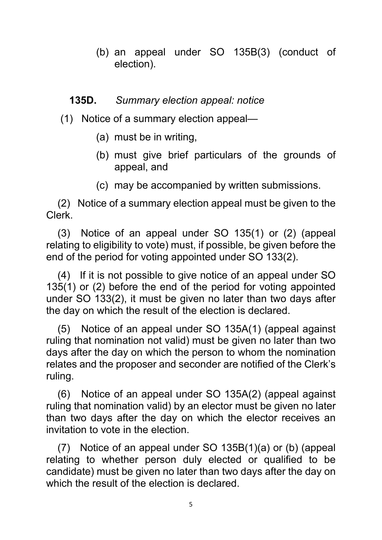(b) an appeal under SO 135B(3) (conduct of election).

#### **135D.** *Summary election appeal: notice*

- (1) Notice of a summary election appeal—
	- (a) must be in writing,
	- (b) must give brief particulars of the grounds of appeal, and
	- (c) may be accompanied by written submissions.

 (2) Notice of a summary election appeal must be given to the Clerk.

 (3) Notice of an appeal under SO 135(1) or (2) (appeal relating to eligibility to vote) must, if possible, be given before the end of the period for voting appointed under SO 133(2).

 (4) If it is not possible to give notice of an appeal under SO 135(1) or (2) before the end of the period for voting appointed under SO 133(2), it must be given no later than two days after the day on which the result of the election is declared.

 (5) Notice of an appeal under SO 135A(1) (appeal against ruling that nomination not valid) must be given no later than two days after the day on which the person to whom the nomination relates and the proposer and seconder are notified of the Clerk's ruling.

 (6) Notice of an appeal under SO 135A(2) (appeal against ruling that nomination valid) by an elector must be given no later than two days after the day on which the elector receives an invitation to vote in the election.

 (7) Notice of an appeal under SO 135B(1)(a) or (b) (appeal relating to whether person duly elected or qualified to be candidate) must be given no later than two days after the day on which the result of the election is declared.

5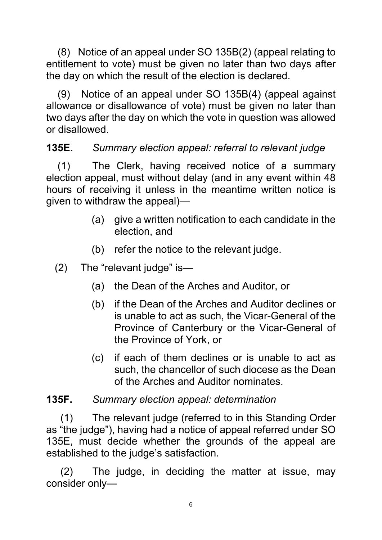(8) Notice of an appeal under SO 135B(2) (appeal relating to entitlement to vote) must be given no later than two days after the day on which the result of the election is declared.

 (9) Notice of an appeal under SO 135B(4) (appeal against allowance or disallowance of vote) must be given no later than two days after the day on which the vote in question was allowed or disallowed.

## **135E.** *Summary election appeal: referral to relevant judge*

(1) The Clerk, having received notice of a summary election appeal, must without delay (and in any event within 48 hours of receiving it unless in the meantime written notice is given to withdraw the appeal)—

- (a) give a written notification to each candidate in the election, and
- (b) refer the notice to the relevant judge.
- (2) The "relevant judge" is—
	- (a) the Dean of the Arches and Auditor, or
	- (b) if the Dean of the Arches and Auditor declines or is unable to act as such, the Vicar-General of the Province of Canterbury or the Vicar-General of the Province of York, or
	- (c) if each of them declines or is unable to act as such, the chancellor of such diocese as the Dean of the Arches and Auditor nominates.

### **135F.** *Summary election appeal: determination*

(1) The relevant judge (referred to in this Standing Order as "the judge"), having had a notice of appeal referred under SO 135E, must decide whether the grounds of the appeal are established to the judge's satisfaction.

 (2) The judge, in deciding the matter at issue, may consider only—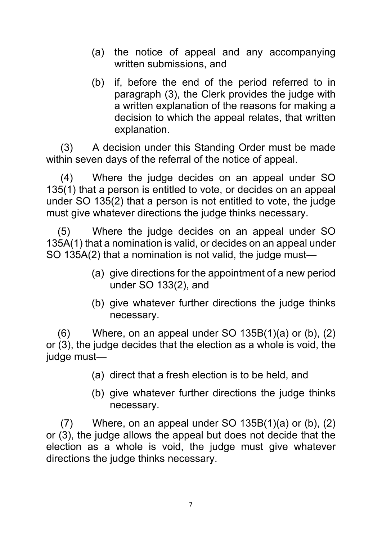- (a) the notice of appeal and any accompanying written submissions, and
- (b) if, before the end of the period referred to in paragraph (3), the Clerk provides the judge with a written explanation of the reasons for making a decision to which the appeal relates, that written explanation.

 (3) A decision under this Standing Order must be made within seven days of the referral of the notice of appeal.

 (4) Where the judge decides on an appeal under SO 135(1) that a person is entitled to vote, or decides on an appeal under SO 135(2) that a person is not entitled to vote, the judge must give whatever directions the judge thinks necessary.

 (5) Where the judge decides on an appeal under SO 135A(1) that a nomination is valid, or decides on an appeal under SO 135A(2) that a nomination is not valid, the judge must—

- (a) give directions for the appointment of a new period under SO 133(2), and
- (b) give whatever further directions the judge thinks necessary.

 $(6)$  Where, on an appeal under SO 135B $(1)(a)$  or  $(b)$ ,  $(2)$ or (3), the judge decides that the election as a whole is void, the judge must—

- (a) direct that a fresh election is to be held, and
- (b) give whatever further directions the judge thinks necessary.

 $(7)$  Where, on an appeal under SO 135B $(1)(a)$  or  $(b)$ ,  $(2)$ or (3), the judge allows the appeal but does not decide that the election as a whole is void, the judge must give whatever directions the judge thinks necessary.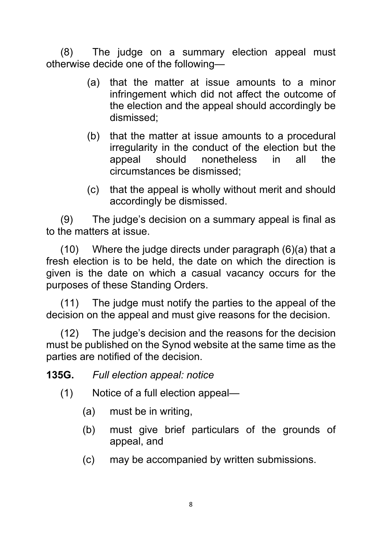(8) The judge on a summary election appeal must otherwise decide one of the following—

- (a) that the matter at issue amounts to a minor infringement which did not affect the outcome of the election and the appeal should accordingly be dismissed;
- (b) that the matter at issue amounts to a procedural irregularity in the conduct of the election but the appeal should nonetheless in all the circumstances be dismissed;
- (c) that the appeal is wholly without merit and should accordingly be dismissed.

 (9) The judge's decision on a summary appeal is final as to the matters at issue.

 (10) Where the judge directs under paragraph (6)(a) that a fresh election is to be held, the date on which the direction is given is the date on which a casual vacancy occurs for the purposes of these Standing Orders.

 (11) The judge must notify the parties to the appeal of the decision on the appeal and must give reasons for the decision.

 (12) The judge's decision and the reasons for the decision must be published on the Synod website at the same time as the parties are notified of the decision.

**135G.** *Full election appeal: notice*

- (1) Notice of a full election appeal—
	- (a) must be in writing,
	- (b) must give brief particulars of the grounds of appeal, and
	- (c) may be accompanied by written submissions.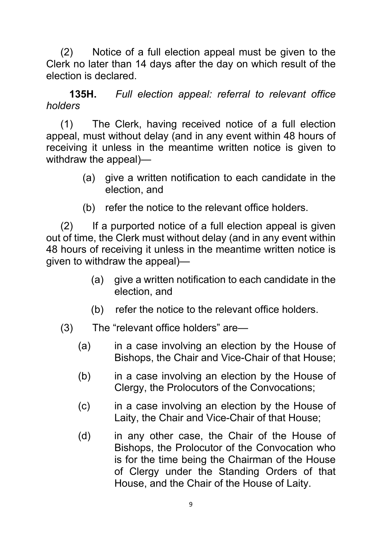(2) Notice of a full election appeal must be given to the Clerk no later than 14 days after the day on which result of the election is declared.

 **135H.** *Full election appeal: referral to relevant office holders* 

(1) The Clerk, having received notice of a full election appeal, must without delay (and in any event within 48 hours of receiving it unless in the meantime written notice is given to withdraw the appeal)—

- (a) give a written notification to each candidate in the election, and
- (b) refer the notice to the relevant office holders.

 (2) If a purported notice of a full election appeal is given out of time, the Clerk must without delay (and in any event within 48 hours of receiving it unless in the meantime written notice is given to withdraw the appeal)—

- (a) give a written notification to each candidate in the election, and
- (b) refer the notice to the relevant office holders.
- (3) The "relevant office holders" are—
	- (a) in a case involving an election by the House of Bishops, the Chair and Vice-Chair of that House;
	- (b) in a case involving an election by the House of Clergy, the Prolocutors of the Convocations;
	- (c) in a case involving an election by the House of Laity, the Chair and Vice-Chair of that House;
	- (d) in any other case, the Chair of the House of Bishops, the Prolocutor of the Convocation who is for the time being the Chairman of the House of Clergy under the Standing Orders of that House, and the Chair of the House of Laity.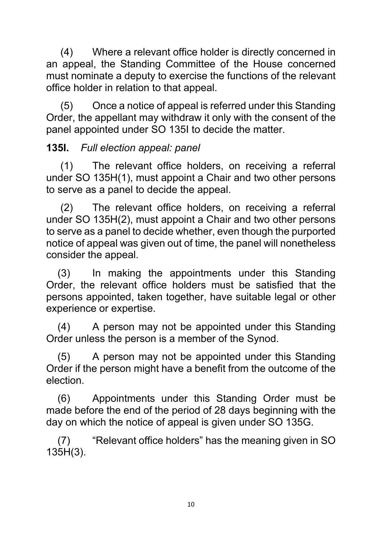(4) Where a relevant office holder is directly concerned in an appeal, the Standing Committee of the House concerned must nominate a deputy to exercise the functions of the relevant office holder in relation to that appeal.

 (5) Once a notice of appeal is referred under this Standing Order, the appellant may withdraw it only with the consent of the panel appointed under SO 135I to decide the matter.

### **135I.** *Full election appeal: panel*

 (1) The relevant office holders, on receiving a referral under SO 135H(1), must appoint a Chair and two other persons to serve as a panel to decide the appeal.

 (2) The relevant office holders, on receiving a referral under SO 135H(2), must appoint a Chair and two other persons to serve as a panel to decide whether, even though the purported notice of appeal was given out of time, the panel will nonetheless consider the appeal.

 (3) In making the appointments under this Standing Order, the relevant office holders must be satisfied that the persons appointed, taken together, have suitable legal or other experience or expertise.

 (4) A person may not be appointed under this Standing Order unless the person is a member of the Synod.

 (5) A person may not be appointed under this Standing Order if the person might have a benefit from the outcome of the election.

 (6) Appointments under this Standing Order must be made before the end of the period of 28 days beginning with the day on which the notice of appeal is given under SO 135G.

 (7) "Relevant office holders" has the meaning given in SO 135H(3).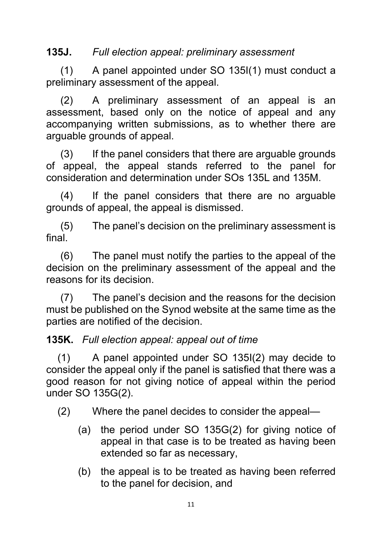### **135J.** *Full election appeal: preliminary assessment*

 (1) A panel appointed under SO 135I(1) must conduct a preliminary assessment of the appeal.

 (2) A preliminary assessment of an appeal is an assessment, based only on the notice of appeal and any accompanying written submissions, as to whether there are arguable grounds of appeal.

 (3) If the panel considers that there are arguable grounds of appeal, the appeal stands referred to the panel for consideration and determination under SOs 135L and 135M.

 (4) If the panel considers that there are no arguable grounds of appeal, the appeal is dismissed.

 (5) The panel's decision on the preliminary assessment is final.

 (6) The panel must notify the parties to the appeal of the decision on the preliminary assessment of the appeal and the reasons for its decision.

 (7) The panel's decision and the reasons for the decision must be published on the Synod website at the same time as the parties are notified of the decision.

#### **135K.** *Full election appeal: appeal out of time*

 (1) A panel appointed under SO 135I(2) may decide to consider the appeal only if the panel is satisfied that there was a good reason for not giving notice of appeal within the period under SO 135G(2).

(2) Where the panel decides to consider the appeal—

- (a) the period under SO 135G(2) for giving notice of appeal in that case is to be treated as having been extended so far as necessary,
- (b) the appeal is to be treated as having been referred to the panel for decision, and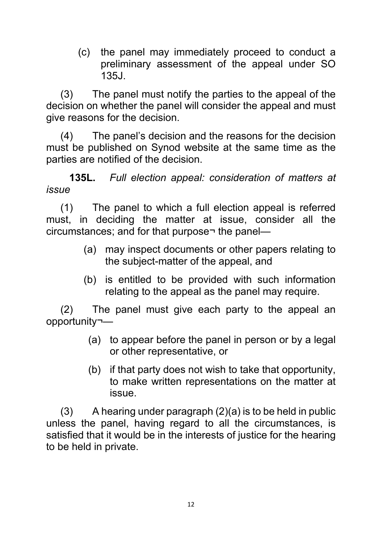(c) the panel may immediately proceed to conduct a preliminary assessment of the appeal under SO 135J.

 (3) The panel must notify the parties to the appeal of the decision on whether the panel will consider the appeal and must give reasons for the decision.

 (4) The panel's decision and the reasons for the decision must be published on Synod website at the same time as the parties are notified of the decision.

 **135L.** *Full election appeal: consideration of matters at issue* 

 (1) The panel to which a full election appeal is referred must, in deciding the matter at issue, consider all the circumstances; and for that purpose¬ the panel—

- (a) may inspect documents or other papers relating to the subject-matter of the appeal, and
- (b) is entitled to be provided with such information relating to the appeal as the panel may require.

 (2) The panel must give each party to the appeal an opportunity¬—

- (a) to appear before the panel in person or by a legal or other representative, or
- (b) if that party does not wish to take that opportunity, to make written representations on the matter at issue.

 $(3)$  A hearing under paragraph  $(2)(a)$  is to be held in public unless the panel, having regard to all the circumstances, is satisfied that it would be in the interests of justice for the hearing to be held in private.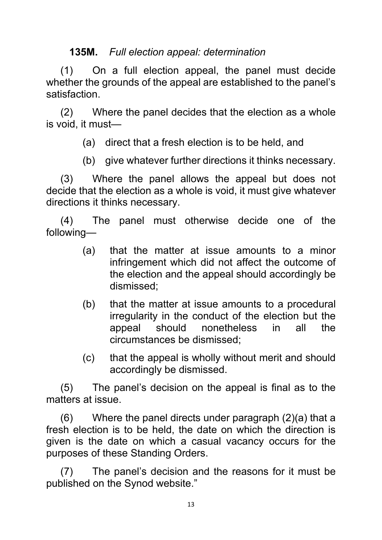#### **135M.** *Full election appeal: determination*

 (1) On a full election appeal, the panel must decide whether the grounds of the appeal are established to the panel's satisfaction.

 (2) Where the panel decides that the election as a whole is void, it must—

(a) direct that a fresh election is to be held, and

(b) give whatever further directions it thinks necessary.

 (3) Where the panel allows the appeal but does not decide that the election as a whole is void, it must give whatever directions it thinks necessary.

 (4) The panel must otherwise decide one of the following—

- (a) that the matter at issue amounts to a minor infringement which did not affect the outcome of the election and the appeal should accordingly be dismissed;
- (b) that the matter at issue amounts to a procedural irregularity in the conduct of the election but the appeal should nonetheless in all the circumstances be dismissed;
- (c) that the appeal is wholly without merit and should accordingly be dismissed.

 (5) The panel's decision on the appeal is final as to the matters at issue.

 (6) Where the panel directs under paragraph (2)(a) that a fresh election is to be held, the date on which the direction is given is the date on which a casual vacancy occurs for the purposes of these Standing Orders.

 (7) The panel's decision and the reasons for it must be published on the Synod website."